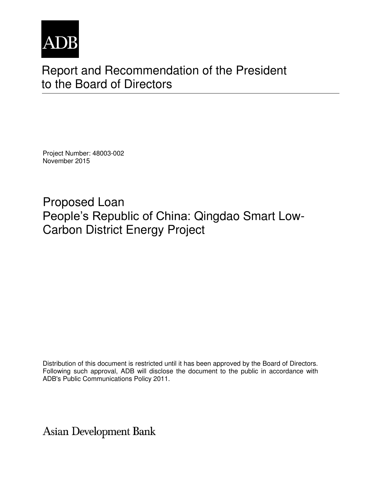

# Report and Recommendation of the President to the Board of Directors

Project Number: 48003-002 November 2015

Proposed Loan People's Republic of China: Qingdao Smart Low-Carbon District Energy Project

Distribution of this document is restricted until it has been approved by the Board of Directors. Following such approval, ADB will disclose the document to the public in accordance with ADB's Public Communications Policy 2011.

**Asian Development Bank**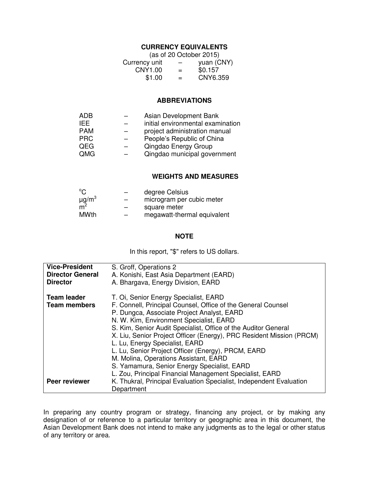#### **CURRENCY EQUIVALENTS**

| (as of 20 October 2015) |                          |            |
|-------------------------|--------------------------|------------|
| Currency unit           | $\overline{\phantom{0}}$ | yuan (CNY) |
| CNY1.00                 | $=$                      | \$0.157    |
| \$1.00                  | $=$                      | CNY6.359   |

#### **ABBREVIATIONS**

| ADB.       | Asian Development Bank            |
|------------|-----------------------------------|
| IFF.       | initial environmental examination |
| <b>PAM</b> | project administration manual     |
| <b>PRC</b> | People's Republic of China        |
| QEG        | Qingdao Energy Group              |
| QMG        | Qingdao municipal government      |

## **WEIGHTS AND MEASURES**

| °೧                     |   | degree Celsius              |
|------------------------|---|-----------------------------|
| $\mu$ g/m <sup>3</sup> | - | microgram per cubic meter   |
|                        |   | square meter                |
| <b>MWth</b>            | - | megawatt-thermal equivalent |

#### **NOTE**

In this report, "\$" refers to US dollars.

| <b>Vice-President</b><br><b>Director General</b><br><b>Director</b> | S. Groff, Operations 2<br>A. Konishi, East Asia Department (EARD)<br>A. Bhargava, Energy Division, EARD                                                                                                                                                                                                                                                                                                                                                                                                                  |
|---------------------------------------------------------------------|--------------------------------------------------------------------------------------------------------------------------------------------------------------------------------------------------------------------------------------------------------------------------------------------------------------------------------------------------------------------------------------------------------------------------------------------------------------------------------------------------------------------------|
| <b>Team leader</b><br><b>Team members</b>                           | T. Oi, Senior Energy Specialist, EARD<br>F. Connell, Principal Counsel, Office of the General Counsel<br>P. Dungca, Associate Project Analyst, EARD<br>N. W. Kim, Environment Specialist, EARD<br>S. Kim, Senior Audit Specialist, Office of the Auditor General<br>X. Liu, Senior Project Officer (Energy), PRC Resident Mission (PRCM)<br>L. Lu, Energy Specialist, EARD<br>L. Lu, Senior Project Officer (Energy), PRCM, EARD<br>M. Molina, Operations Assistant, EARD<br>S. Yamamura, Senior Energy Specialist, EARD |
| Peer reviewer                                                       | L. Zou, Principal Financial Management Specialist, EARD<br>K. Thukral, Principal Evaluation Specialist, Independent Evaluation<br>Department                                                                                                                                                                                                                                                                                                                                                                             |

In preparing any country program or strategy, financing any project, or by making any designation of or reference to a particular territory or geographic area in this document, the Asian Development Bank does not intend to make any judgments as to the legal or other status of any territory or area.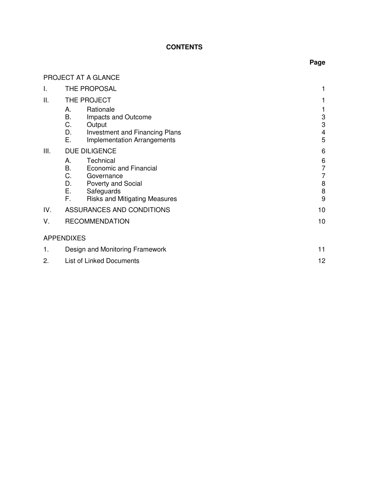# **CONTENTS**

# PROJECT AT A GLANCE

| I.   | THE PROPOSAL                                                                                                                                                                    |                            |
|------|---------------------------------------------------------------------------------------------------------------------------------------------------------------------------------|----------------------------|
| ΙΙ.  | THE PROJECT                                                                                                                                                                     |                            |
|      | Rationale<br>А.<br>B.<br>Impacts and Outcome<br>C.<br>Output<br>D.<br><b>Investment and Financing Plans</b><br>Е.<br><b>Implementation Arrangements</b>                         | 3<br>3<br>4<br>5           |
| III. | <b>DUE DILIGENCE</b>                                                                                                                                                            | 6                          |
|      | Technical<br>А.<br>В.<br><b>Economic and Financial</b><br>C.<br>Governance<br>D.<br><b>Poverty and Social</b><br>Ε.<br>Safeguards<br>F.<br><b>Risks and Mitigating Measures</b> | 6<br>7<br>7<br>8<br>8<br>9 |
| IV.  | ASSURANCES AND CONDITIONS                                                                                                                                                       | 10                         |
| V.   | <b>RECOMMENDATION</b>                                                                                                                                                           | 10                         |
|      | <b>APPENDIXES</b>                                                                                                                                                               |                            |
| 1.   | Design and Monitoring Framework                                                                                                                                                 | 11                         |
| 2.   | <b>List of Linked Documents</b>                                                                                                                                                 |                            |

# **Page**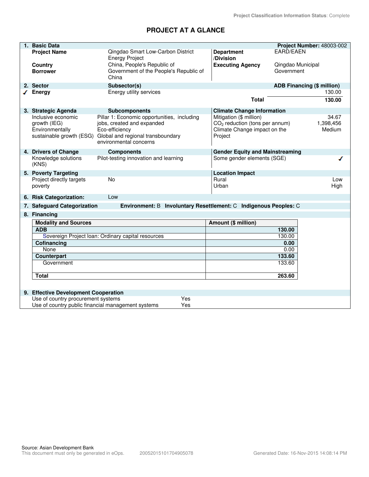# **PROJECT AT A GLANCE**

| 1. Basic Data                                         |                                                                                                                                                                                     |                                                                                                        | Project Number: 48003-002         |
|-------------------------------------------------------|-------------------------------------------------------------------------------------------------------------------------------------------------------------------------------------|--------------------------------------------------------------------------------------------------------|-----------------------------------|
| <b>Project Name</b>                                   | Qingdao Smart Low-Carbon District<br><b>Energy Project</b>                                                                                                                          | <b>Department</b><br>/Division                                                                         | <b>EARD/EAEN</b>                  |
| Country<br><b>Borrower</b>                            | China, People's Republic of<br>Government of the People's Republic of<br>China                                                                                                      | <b>Executing Agency</b>                                                                                | Qingdao Municipal<br>Government   |
| 2. Sector                                             | Subsector(s)                                                                                                                                                                        |                                                                                                        | <b>ADB Financing (\$ million)</b> |
| <b>Energy</b>                                         | Energy utility services                                                                                                                                                             |                                                                                                        | 130.00                            |
|                                                       |                                                                                                                                                                                     | <b>Total</b>                                                                                           | 130.00                            |
| 3. Strategic Agenda                                   | Subcomponents                                                                                                                                                                       | <b>Climate Change Information</b>                                                                      |                                   |
| Inclusive economic<br>growth (IEG)<br>Environmentally | Pillar 1: Economic opportunities, including<br>jobs, created and expanded<br>Eco-efficiency<br>sustainable growth (ESG) Global and regional transboundary<br>environmental concerns | Mitigation (\$ million)<br>$CO2$ reduction (tons per annum)<br>Climate Change impact on the<br>Project | 34.67<br>1,398,456<br>Medium      |
| 4. Drivers of Change                                  | <b>Components</b>                                                                                                                                                                   | <b>Gender Equity and Mainstreaming</b>                                                                 |                                   |
| Knowledge solutions<br>(KNS)                          | Pilot-testing innovation and learning                                                                                                                                               | Some gender elements (SGE)                                                                             |                                   |
| 5. Poverty Targeting                                  |                                                                                                                                                                                     | <b>Location Impact</b>                                                                                 |                                   |
| Project directly targets<br>poverty                   | <b>No</b>                                                                                                                                                                           | Rural<br>Urban                                                                                         | Low<br>High                       |
| 6. Risk Categorization:                               | Low                                                                                                                                                                                 |                                                                                                        |                                   |
| 7. Safeguard Categorization                           | Environment: B Involuntary Resettlement: C Indigenous Peoples: C                                                                                                                    |                                                                                                        |                                   |
| 8. Financing                                          |                                                                                                                                                                                     |                                                                                                        |                                   |
| <b>Modality and Sources</b>                           |                                                                                                                                                                                     | Amount (\$ million)                                                                                    |                                   |
| <b>ADB</b>                                            |                                                                                                                                                                                     |                                                                                                        | 130.00                            |
|                                                       | Sovereign Project Ioan: Ordinary capital resources                                                                                                                                  |                                                                                                        | 130.00                            |
| Cofinancing                                           |                                                                                                                                                                                     | 0.00                                                                                                   |                                   |
| None                                                  |                                                                                                                                                                                     | 0.00                                                                                                   |                                   |
| <b>Counterpart</b>                                    |                                                                                                                                                                                     |                                                                                                        | 133.60                            |
| Government                                            |                                                                                                                                                                                     |                                                                                                        | 133.60                            |
| <b>Total</b>                                          |                                                                                                                                                                                     |                                                                                                        | 263.60                            |
|                                                       |                                                                                                                                                                                     |                                                                                                        |                                   |
| 9. Effective Development Cooperation                  |                                                                                                                                                                                     |                                                                                                        |                                   |
| Use of country procurement systems                    | Yes                                                                                                                                                                                 |                                                                                                        |                                   |
| Use of country public financial management systems    | Yes                                                                                                                                                                                 |                                                                                                        |                                   |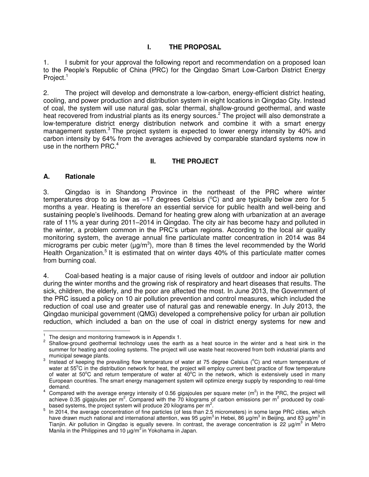## **I. THE PROPOSAL**

1. I submit for your approval the following report and recommendation on a proposed loan to the People's Republic of China (PRC) for the Qingdao Smart Low-Carbon District Energy Project.<sup>1</sup>

2. The project will develop and demonstrate a low-carbon, energy-efficient district heating, cooling, and power production and distribution system in eight locations in Qingdao City. Instead of coal, the system will use natural gas, solar thermal, shallow-ground geothermal, and waste heat recovered from industrial plants as its energy sources.<sup>2</sup> The project will also demonstrate a low-temperature district energy distribution network and combine it with a smart energy management system.<sup>3</sup> The project system is expected to lower energy intensity by 40% and carbon intensity by 64% from the averages achieved by comparable standard systems now in use in the northern PRC.<sup>4</sup>

## **II. THE PROJECT**

#### **A. Rationale**

3. Qingdao is in Shandong Province in the northeast of the PRC where winter temperatures drop to as low as  $-17$  degrees Celsius ( $^{\circ}$ C) and are typically below zero for 5 months a year. Heating is therefore an essential service for public health and well-being and sustaining people's livelihoods. Demand for heating grew along with urbanization at an average rate of 11% a year during 2011–2014 in Qingdao. The city air has become hazy and polluted in the winter, a problem common in the PRC's urban regions. According to the local air quality monitoring system, the average annual fine particulate matter concentration in 2014 was 84 micrograms per cubic meter  $(\mu g/m^3)$ , more than 8 times the level recommended by the World Health Organization.<sup>5</sup> It is estimated that on winter days 40% of this particulate matter comes from burning coal.

4. Coal-based heating is a major cause of rising levels of outdoor and indoor air pollution during the winter months and the growing risk of respiratory and heart diseases that results. The sick, children, the elderly, and the poor are affected the most. In June 2013, the Government of the PRC issued a policy on 10 air pollution prevention and control measures, which included the reduction of coal use and greater use of natural gas and renewable energy. In July 2013, the Qingdao municipal government (QMG) developed a comprehensive policy for urban air pollution reduction, which included a ban on the use of coal in district energy systems for new and

The design and monitoring framework is in Appendix 1.

 $2$  Shallow-ground geothermal technology uses the earth as a heat source in the winter and a heat sink in the summer for heating and cooling systems. The project will use waste heat recovered from both industrial plants and municipal sewage plants.

 $3$  Instead of keeping the prevailing flow temperature of water at 75 degree Celsius ( $^{\circ}$ C) and return temperature of water at 55°C in the distribution network for heat, the project will employ current best practice of flow temperature of water at  $50^{\circ}$ C and return temperature of water at  $40^{\circ}$ C in the network, which is extensively used in many European countries. The smart energy management system will optimize energy supply by responding to real-time demand.

<sup>&</sup>lt;sup>4</sup> Compared with the average energy intensity of 0.56 gigajoules per square meter (m<sup>2</sup>) in the PRC, the project will achieve 0.35 gigajoules per m<sup>2</sup>. Compared with the 70 kilograms of carbon emissions per m<sup>2</sup> produced by coalbased systems, the project system will produce 20 kilograms per  $m^2$ .

<sup>&</sup>lt;sup>5</sup> In 2014, the average concentration of fine particles (of less than 2.5 micrometers) in some large PRC cities, which have drawn much national and international attention, was 95 μg/m<sup>3</sup> in Hebei, 86 μg/m<sup>3</sup> in Beijing, and 83 μg/m<sup>3</sup> in Tianjin. Air pollution in Qingdao is equally severe. In contrast, the average concentration is 22  $\mu$ g/m<sup>3</sup> in Metro Manila in the Philippines and 10  $\mu$ g/m<sup>3</sup> in Yokohama in Japan.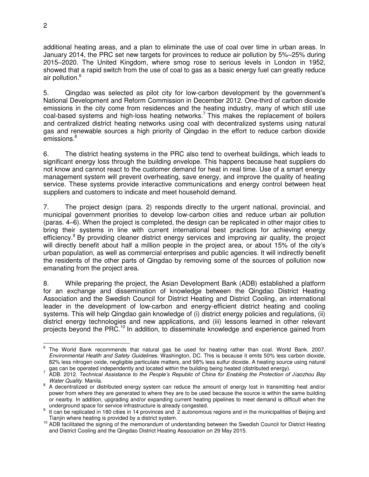additional heating areas, and a plan to eliminate the use of coal over time in urban areas. In January 2014, the PRC set new targets for provinces to reduce air pollution by 5%–25% during 2015–2020. The United Kingdom, where smog rose to serious levels in London in 1952, showed that a rapid switch from the use of coal to gas as a basic energy fuel can greatly reduce air pollution.<sup>6</sup>

5. Qingdao was selected as pilot city for low-carbon development by the government's National Development and Reform Commission in December 2012. One-third of carbon dioxide emissions in the city come from residences and the heating industry, many of which still use coal-based systems and high-loss heating networks.<sup>7</sup> This makes the replacement of boilers and centralized district heating networks using coal with decentralized systems using natural gas and renewable sources a high priority of Qingdao in the effort to reduce carbon dioxide emissions.<sup>8</sup>

6. The district heating systems in the PRC also tend to overheat buildings, which leads to significant energy loss through the building envelope. This happens because heat suppliers do not know and cannot react to the customer demand for heat in real time. Use of a smart energy management system will prevent overheating, save energy, and improve the quality of heating service. These systems provide interactive communications and energy control between heat suppliers and customers to indicate and meet household demand.

7. The project design (para. 2) responds directly to the urgent national, provincial, and municipal government priorities to develop low-carbon cities and reduce urban air pollution (paras. 4–6). When the project is completed, the design can be replicated in other major cities to bring their systems in line with current international best practices for achieving energy efficiency.<sup>9</sup> By providing cleaner district energy services and improving air quality, the project will directly benefit about half a million people in the project area, or about 15% of the city's urban population, as well as commercial enterprises and public agencies. It will indirectly benefit the residents of the other parts of Qingdao by removing some of the sources of pollution now emanating from the project area.

8. While preparing the project, the Asian Development Bank (ADB) established a platform for an exchange and dissemination of knowledge between the Qingdao District Heating Association and the Swedish Council for District Heating and District Cooling, an international leader in the development of low-carbon and energy-efficient district heating and cooling systems. This will help Qingdao gain knowledge of (i) district energy policies and regulations, (ii) district energy technologies and new applications, and (iii) lessons learned in other relevant projects beyond the PRC.<sup>10</sup> In addition, to disseminate knowledge and experience gained from

end and the World Bank recommends that natural gas be used for heating rather than coal. World Bank. 2007. *Environmental Health and Safety Guidelines*. Washington, DC. This is because it emits 50% less carbon dioxide, 82% less nitrogen oxide, negligible particulate matters, and 98% less sulfur dioxide. A heating source using natural gas can be operated independently and located within the building being heated (distributed energy).

<sup>7</sup> ADB. 2012. *Technical Assistance to the People's Republic of China for Enabling the Protection of Jiaozhou Bay Water Quality.* Manila.

<sup>&</sup>lt;sup>8</sup> A decentralized or distributed energy system can reduce the amount of energy lost in transmitting heat and/or power from where they are generated to where they are to be used because the source is within the same building or nearby. In addition, upgrading and/or expanding current heating pipelines to meet demand is difficult when the underground space for service infrastructure is already congested.

<sup>&</sup>lt;sup>9</sup> It can be replicated in 180 cities in 14 provinces and 2 autonomous regions and in the municipalities of Beijing and Tianjin where heating is provided by a district system.

<sup>&</sup>lt;sup>10</sup> ADB facilitated the signing of the memorandum of understanding between the Swedish Council for District Heating and District Cooling and the Qingdao District Heating Association on 29 May 2015.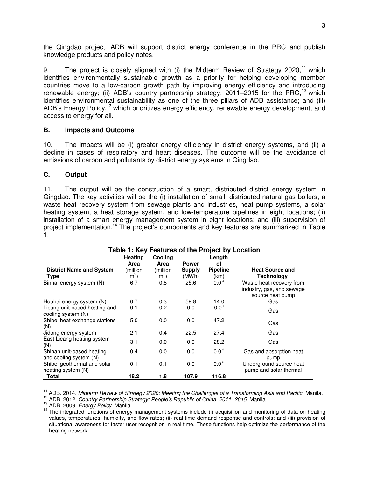the Qingdao project, ADB will support district energy conference in the PRC and publish knowledge products and policy notes.

9. The project is closely aligned with (i) the Midterm Review of Strategy 2020, $^{11}$  which identifies environmentally sustainable growth as a priority for helping developing member countries move to a low-carbon growth path by improving energy efficiency and introducing renewable energy; (ii) ADB's country partnership strategy, 2011–2015 for the PRC,<sup>12</sup> which identifies environmental sustainability as one of the three pillars of ADB assistance; and (iii) ADB's Energy Policy,<sup>13</sup> which prioritizes energy efficiency, renewable energy development, and access to energy for all.

#### **B. Impacts and Outcome**

10. The impacts will be (i) greater energy efficiency in district energy systems, and (ii) a decline in cases of respiratory and heart diseases. The outcome will be the avoidance of emissions of carbon and pollutants by district energy systems in Qingdao.

#### **C. Output**

11. The output will be the construction of a smart, distributed district energy system in Qingdao. The key activities will be the (i) installation of small, distributed natural gas boilers, a waste heat recovery system from sewage plants and industries, heat pump systems, a solar heating system, a heat storage system, and low-temperature pipelines in eight locations; (ii) installation of a smart energy management system in eight locations; and (iii) supervision of project implementation.<sup>14</sup> The project's components and key features are summarized in Table 1.

|                                                     | <b>Heating</b><br>Area     | <b>Cooling</b><br>Area     | <b>Power</b>    | Length<br>οf            |                                                                           |
|-----------------------------------------------------|----------------------------|----------------------------|-----------------|-------------------------|---------------------------------------------------------------------------|
| <b>District Name and System</b><br>Type             | (million<br>m <sup>2</sup> | (million<br>m <sup>2</sup> | Supply<br>(MWh) | <b>Pipeline</b><br>(km) | <b>Heat Source and</b><br>Technology <sup>"</sup>                         |
| Binhai energy system (N)                            | 6.7                        | 0.8                        | 25.6            | 0.0 <sup>a</sup>        | Waste heat recovery from<br>industry, gas, and sewage<br>source heat pump |
| Houhai energy system (N)                            | 0.7                        | 0.3                        | 59.8            | 14.0                    | Gas                                                                       |
| Licang unit-based heating and<br>cooling system (N) | 0.1                        | 0.2                        | 0.0             | 0.0 <sup>a</sup>        | Gas                                                                       |
| Shibei heat exchange stations<br>(N)                | 5.0                        | 0.0                        | 0.0             | 47.2                    | Gas                                                                       |
| Jidong energy system                                | 2.1                        | 0.4                        | 22.5            | 27.4                    | Gas                                                                       |
| East Licang heating system<br>(N)                   | 3.1                        | 0.0                        | 0.0             | 28.2                    | Gas                                                                       |
| Shinan unit-based heating<br>and cooling system (N) | 0.4                        | 0.0                        | 0.0             | 0.0 <sup>a</sup>        | Gas and absorption heat<br>pump                                           |
| Shibei geothermal and solar<br>heating system (N)   | 0.1                        | 0.1                        | 0.0             | 0.0 <sup>a</sup>        | Underground source heat<br>pump and solar thermal                         |
| Total                                               | 18.2                       | 1.8                        | 107.9           | 116.8                   |                                                                           |

## **Table 1: Key Features of the Project by Location**

 $\overline{a}$ <sup>11</sup> ADB. 2014. *Midterm Review of Strategy 2020: Meeting the Challenges of a Transforming Asia and Pacific.* Manila.

<sup>12</sup> ADB. 2012. *Country Partnership Strategy: People's Republic of China, 2011–2015.* Manila.

<sup>13</sup> ADB. 2009*. Energy Policy*. Manila.

<sup>14</sup> The integrated functions of energy management systems include (i) acquisition and monitoring of data on heating values, temperatures, humidity, and flow rates; (ii) real-time demand response and controls; and (iii) provision of situational awareness for faster user recognition in real time. These functions help optimize the performance of the heating network.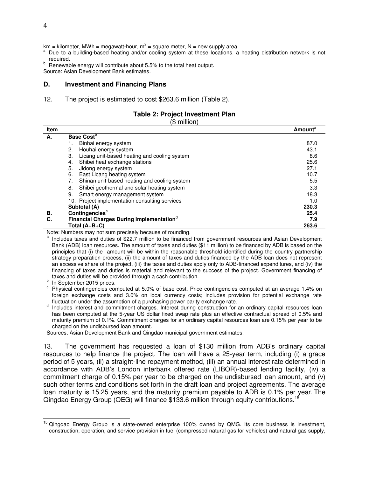km = kilometer, MWh = megawatt-hour, m<sup>2</sup> = square meter, N = new supply area.

- Due to a building-based heating and/or cooling system at these locations, a heating distribution network is not required.
- b Renewable energy will contribute about 5.5% to the total heat output.

Source: Asian Development Bank estimates.

#### **D. Investment and Financing Plans**

12. The project is estimated to cost \$263.6 million (Table 2).

#### **Table 2: Project Investment Plan**

(\$ million)

| <b>Item</b> |                                                             | <b>Amount</b> <sup>a</sup> |
|-------------|-------------------------------------------------------------|----------------------------|
| А.          | Base Cost <sup>D</sup>                                      |                            |
|             | Binhai energy system                                        | 87.0                       |
|             | Houhai energy system<br>2.                                  | 43.1                       |
|             | Licang unit-based heating and cooling system<br>3.          | 8.6                        |
|             | Shibei heat exchange stations<br>4.                         | 25.6                       |
|             | 5.<br>Jidong energy system                                  | 27.1                       |
|             | East Licang heating system<br>6.                            | 10.7                       |
|             | Shinan unit-based heating and cooling system                | 5.5                        |
|             | Shibei geothermal and solar heating system<br>8.            | 3.3                        |
|             | 9.<br>Smart energy management system                        | 18.3                       |
|             | 10. Project implementation consulting services              | 1.0                        |
|             | Subtotal (A)                                                | 230.3                      |
| В.          | Contingencies <sup>c</sup>                                  | 25.4                       |
| C.          | <b>Financial Charges During Implementation</b> <sup>°</sup> | 7.9                        |
|             | Total $(A+B+C)$                                             | 263.6                      |

Note: Numbers may not sum precisely because of rounding.

a Includes taxes and duties of \$22.7 million to be financed from government resources and Asian Development Bank (ADB) loan resources. The amount of taxes and duties (\$11 million) to be financed by ADB is based on the principles that (i) the amount will be within the reasonable threshold identified during the country partnership strategy preparation process, (ii) the amount of taxes and duties financed by the ADB loan does not represent an excessive share of the project, (iii) the taxes and duties apply only to ADB-financed expenditures, and (iv) the financing of taxes and duties is material and relevant to the success of the project. Government financing of taxes and duties will be provided through a cash contribution.

<sup>b</sup> In September 2015 prices.

<sup>c</sup> Physical contingencies computed at 5.0% of base cost. Price contingencies computed at an average 1.4% on foreign exchange costs and 3.0% on local currency costs; includes provision for potential exchange rate fluctuation under the assumption of a purchasing power parity exchange rate.

d Includes interest and commitment charges. Interest during construction for an ordinary capital resources loan has been computed at the 5-year US dollar fixed swap rate plus an effective contractual spread of 0.5% and maturity premium of 0.1%. Commitment charges for an ordinary capital resources loan are 0.15% per year to be charged on the undisbursed loan amount.

Sources: Asian Development Bank and Qingdao municipal government estimates.

13. The government has requested a loan of \$130 million from ADB's ordinary capital resources to help finance the project. The loan will have a 25-year term, including (i) a grace period of 5 years, (ii) a straight-line repayment method, (iii) an annual interest rate determined in accordance with ADB's London interbank offered rate (LIBOR)-based lending facility, (iv) a commitment charge of 0.15% per year to be charged on the undisbursed loan amount, and (v) such other terms and conditions set forth in the draft loan and project agreements. The average loan maturity is 15.25 years, and the maturity premium payable to ADB is 0.1% per year. The Qingdao Energy Group (QEG) will finance \$133.6 million through equity contributions.<sup>15</sup>

 $\overline{a}$ <sup>15</sup> Qingdao Energy Group is a state-owned enterprise 100% owned by QMG. Its core business is investment, construction, operation, and service provision in fuel (compressed natural gas for vehicles) and natural gas supply,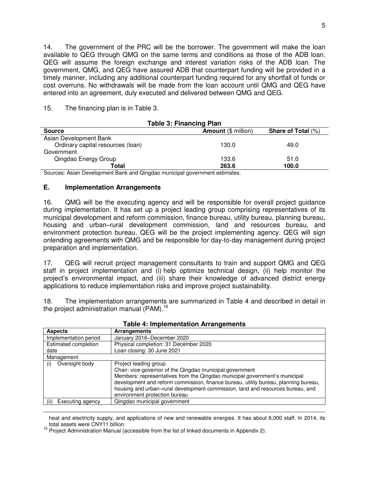14. The government of the PRC will be the borrower. The government will make the loan available to QEG through QMG on the same terms and conditions as those of the ADB loan. QEG will assume the foreign exchange and interest variation risks of the ADB loan. The government, QMG, and QEG have assured ADB that counterpart funding will be provided in a timely manner, including any additional counterpart funding required for any shortfall of funds or cost overruns. No withdrawals will be made from the loan account until QMG and QEG have entered into an agreement, duly executed and delivered between QMG and QEG.

| <b>Table 3: Financing Plan</b>                     |                            |                           |
|----------------------------------------------------|----------------------------|---------------------------|
| <b>Source</b>                                      | <b>Amount (\$ million)</b> | <b>Share of Total (%)</b> |
| Asian Development Bank                             |                            |                           |
| Ordinary capital resources (loan)                  | 130.0                      | 49.0                      |
| Government                                         |                            |                           |
| Qingdao Energy Group                               | 133.6                      | 51.0                      |
| 263.6<br>100.0<br>Total                            |                            |                           |
| . .<br>$\sim$<br>$\sim$<br>$\sim$<br>$\sim$ $\sim$ |                            |                           |

15. The financing plan is in Table 3.

Sources: Asian Development Bank and Qingdao municipal government estimates.

#### **E. Implementation Arrangements**

 $\overline{a}$ 

16. QMG will be the executing agency and will be responsible for overall project guidance during implementation. It has set up a project leading group comprising representatives of its municipal development and reform commission, finance bureau, utility bureau, planning bureau, housing and urban–rural development commission, land and resources bureau, and environment protection bureau. QEG will be the project implementing agency. QEG will sign onlending agreements with QMG and be responsible for day-to-day management during project preparation and implementation.

17. QEG will recruit project management consultants to train and support QMG and QEG staff in project implementation and (i) help optimize technical design, (ii) help monitor the project's environmental impact, and (iii) share their knowledge of advanced district energy applications to reduce implementation risks and improve project sustainability.

18. The implementation arrangements are summarized in Table 4 and described in detail in the project administration manual  $(PAM)^{16}$ 

| <b>Aspects</b>           | Arrangements                                                                                                                                                                                                                                                                                                                                                              |
|--------------------------|---------------------------------------------------------------------------------------------------------------------------------------------------------------------------------------------------------------------------------------------------------------------------------------------------------------------------------------------------------------------------|
| Implementation period    | January 2016-December 2020                                                                                                                                                                                                                                                                                                                                                |
| Estimated completion     | Physical completion: 31 December 2020                                                                                                                                                                                                                                                                                                                                     |
| date                     | Loan closing: 30 June 2021                                                                                                                                                                                                                                                                                                                                                |
| Management               |                                                                                                                                                                                                                                                                                                                                                                           |
| Oversight body<br>(i)    | Project leading group<br>Chair: vice-governor of the Qingdao municipal government<br>Members: representatives from the Qingdao municipal government's municipal<br>development and reform commission, finance bureau, utility bureau, planning bureau,<br>housing and urban-rural development commission, land and resources bureau, and<br>environment protection bureau |
| Executing agency<br>(ii) | Qingdao municipal government                                                                                                                                                                                                                                                                                                                                              |

#### **Table 4: Implementation Arrangements**

heat and electricity supply, and applications of new and renewable energies. It has about 6,000 staff. In 2014, its total assets were CNY11 billion.

<sup>16</sup> Project Administration Manual (accessible from the list of linked documents in Appendix 2).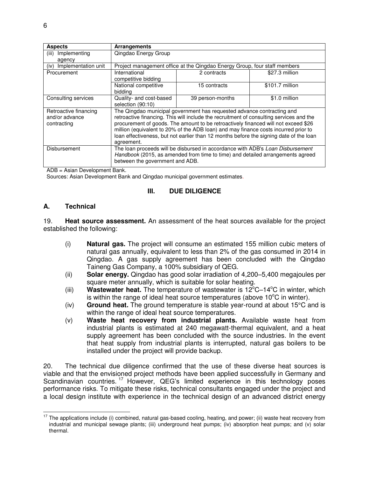| <b>Aspects</b>                                         | <b>Arrangements</b>                                                                                                                                                                                                                                                                                                                                                                                                                                    |                                                                                                                                                                  |                 |
|--------------------------------------------------------|--------------------------------------------------------------------------------------------------------------------------------------------------------------------------------------------------------------------------------------------------------------------------------------------------------------------------------------------------------------------------------------------------------------------------------------------------------|------------------------------------------------------------------------------------------------------------------------------------------------------------------|-----------------|
| Implementing<br>(iii)<br>agency                        | Qingdao Energy Group                                                                                                                                                                                                                                                                                                                                                                                                                                   |                                                                                                                                                                  |                 |
| (iv) Implementation unit                               |                                                                                                                                                                                                                                                                                                                                                                                                                                                        | Project management office at the Qingdao Energy Group, four staff members                                                                                        |                 |
| Procurement                                            | International<br>competitive bidding                                                                                                                                                                                                                                                                                                                                                                                                                   | 2 contracts                                                                                                                                                      | \$27.3 million  |
|                                                        | National competitive<br>bidding                                                                                                                                                                                                                                                                                                                                                                                                                        | 15 contracts                                                                                                                                                     | \$101.7 million |
| Consulting services                                    | Quality- and cost-based<br>selection (90:10)                                                                                                                                                                                                                                                                                                                                                                                                           | 39 person-months                                                                                                                                                 | \$1.0 million   |
| Retroactive financing<br>and/or advance<br>contracting | The Qingdao municipal government has requested advance contracting and<br>retroactive financing. This will include the recruitment of consulting services and the<br>procurement of goods. The amount to be retroactively financed will not exceed \$26<br>million (equivalent to 20% of the ADB loan) and may finance costs incurred prior to<br>loan effectiveness, but not earlier than 12 months before the signing date of the loan<br>agreement. |                                                                                                                                                                  |                 |
| Disbursement                                           | between the government and ADB.                                                                                                                                                                                                                                                                                                                                                                                                                        | The loan proceeds will be disbursed in accordance with ADB's Loan Disbursement<br>Handbook (2015, as amended from time to time) and detailed arrangements agreed |                 |

ADB = Asian Development Bank.

Sources: Asian Development Bank and Qingdao municipal government estimates.

#### **III. DUE DILIGENCE**

#### **A. Technical**

19. **Heat source assessment.** An assessment of the heat sources available for the project established the following:

- (i) **Natural gas.** The project will consume an estimated 155 million cubic meters of natural gas annually, equivalent to less than 2% of the gas consumed in 2014 in Qingdao. A gas supply agreement has been concluded with the Qingdao Taineng Gas Company, a 100% subsidiary of QEG.
- (ii) **Solar energy.** Qingdao has good solar irradiation of 4,200–5,400 megajoules per square meter annually, which is suitable for solar heating.
- (iii) **Wastewater heat.** The temperature of wastewater is  $12^{\circ}C 14^{\circ}C$  in winter, which is within the range of ideal heat source temperatures (above  $10^{\circ}$ C in winter).
- (iv) **Ground heat.** The ground temperature is stable year-round at about 15°C and is within the range of ideal heat source temperatures.
- (v) **Waste heat recovery from industrial plants.** Available waste heat from industrial plants is estimated at 240 megawatt-thermal equivalent, and a heat supply agreement has been concluded with the source industries. In the event that heat supply from industrial plants is interrupted, natural gas boilers to be installed under the project will provide backup.

20. The technical due diligence confirmed that the use of these diverse heat sources is viable and that the envisioned project methods have been applied successfully in Germany and Scandinavian countries.<sup>17</sup> However, QEG's limited experience in this technology poses performance risks. To mitigate these risks, technical consultants engaged under the project and a local design institute with experience in the technical design of an advanced district energy

 $\overline{a}$  $17$  The applications include (i) combined, natural gas-based cooling, heating, and power; (ii) waste heat recovery from industrial and municipal sewage plants; (iii) underground heat pumps; (iv) absorption heat pumps; and (v) solar thermal.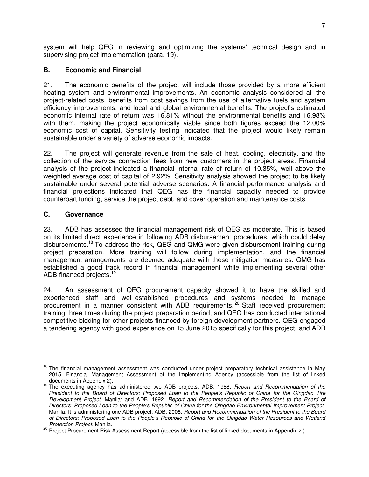system will help QEG in reviewing and optimizing the systems' technical design and in supervising project implementation (para. 19).

## **B. Economic and Financial**

21. The economic benefits of the project will include those provided by a more efficient heating system and environmental improvements. An economic analysis considered all the project-related costs, benefits from cost savings from the use of alternative fuels and system efficiency improvements, and local and global environmental benefits. The project's estimated economic internal rate of return was 16.81% without the environmental benefits and 16.98% with them, making the project economically viable since both figures exceed the 12.00% economic cost of capital. Sensitivity testing indicated that the project would likely remain sustainable under a variety of adverse economic impacts.

22. The project will generate revenue from the sale of heat, cooling, electricity, and the collection of the service connection fees from new customers in the project areas. Financial analysis of the project indicated a financial internal rate of return of 10.35%, well above the weighted average cost of capital of 2.92%. Sensitivity analysis showed the project to be likely sustainable under several potential adverse scenarios. A financial performance analysis and financial projections indicated that QEG has the financial capacity needed to provide counterpart funding, service the project debt, and cover operation and maintenance costs.

## **C. Governance**

23. ADB has assessed the financial management risk of QEG as moderate. This is based on its limited direct experience in following ADB disbursement procedures, which could delay disbursements.<sup>18</sup> To address the risk, QEG and QMG were given disbursement training during project preparation. More training will follow during implementation, and the financial management arrangements are deemed adequate with these mitigation measures. QMG has established a good track record in financial management while implementing several other ADB-financed projects.<sup>19</sup>

24. An assessment of QEG procurement capacity showed it to have the skilled and experienced staff and well-established procedures and systems needed to manage procurement in a manner consistent with ADB requirements.<sup>20</sup> Staff received procurement training three times during the project preparation period, and QEG has conducted international competitive bidding for other projects financed by foreign development partners. QEG engaged a tendering agency with good experience on 15 June 2015 specifically for this project, and ADB

 $\overline{a}$ <sup>18</sup> The financial management assessment was conducted under project preparatory technical assistance in May 2015. Financial Management Assessment of the Implementing Agency (accessible from the list of linked documents in Appendix 2).

<sup>19</sup> The executing agency has administered two ADB projects: ADB. 1988. *Report and Recommendation of the President to the Board of Directors: Proposed Loan to the People's Republic of China for the Qingdao Tire Development Project.* Manila; and ADB. 1992. *Report and Recommendation of the President to the Board of Directors: Proposed Loan to the People's Republic of China for the Qingdao Environmental Improvement Project.*  Manila. It is administering one ADB project: ADB. 2008. *Report and Recommendation of the President to the Board of Directors: Proposed Loan to the People's Republic of China for the Qingdao Water Resources and Wetland Protection Project.* Manila.

<sup>&</sup>lt;sup>20</sup> Project Procurement Risk Assessment Report (accessible from the list of linked documents in Appendix 2.)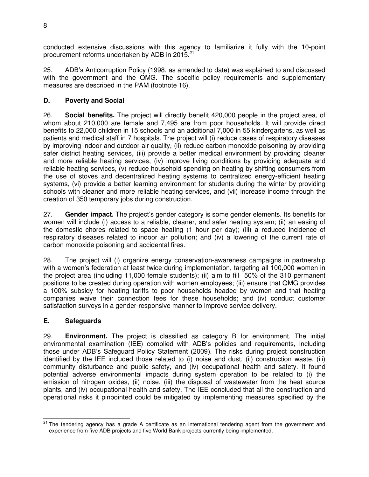conducted extensive discussions with this agency to familiarize it fully with the 10-point procurement reforms undertaken by ADB in 2015.<sup>21</sup>

25. ADB's Anticorruption Policy (1998, as amended to date) was explained to and discussed with the government and the QMG. The specific policy requirements and supplementary measures are described in the PAM (footnote 16).

## **D. Poverty and Social**

26. **Social benefits.** The project will directly benefit 420,000 people in the project area, of whom about 210,000 are female and 7,495 are from poor households. It will provide direct benefits to 22,000 children in 15 schools and an additional 7,000 in 55 kindergartens, as well as patients and medical staff in 7 hospitals. The project will (i) reduce cases of respiratory diseases by improving indoor and outdoor air quality, (ii) reduce carbon monoxide poisoning by providing safer district heating services, (iii) provide a better medical environment by providing cleaner and more reliable heating services, (iv) improve living conditions by providing adequate and reliable heating services, (v) reduce household spending on heating by shifting consumers from the use of stoves and decentralized heating systems to centralized energy-efficient heating systems, (vi) provide a better learning environment for students during the winter by providing schools with cleaner and more reliable heating services, and (vii) increase income through the creation of 350 temporary jobs during construction.

27. **Gender impact.** The project's gender category is some gender elements. Its benefits for women will include (i) access to a reliable, cleaner, and safer heating system; (ii) an easing of the domestic chores related to space heating (1 hour per day); (iii) a reduced incidence of respiratory diseases related to indoor air pollution; and (iv) a lowering of the current rate of carbon monoxide poisoning and accidental fires.

28. The project will (i) organize energy conservation-awareness campaigns in partnership with a women's federation at least twice during implementation, targeting all 100,000 women in the project area (including 11,000 female students); (ii) aim to fill 50% of the 310 permanent positions to be created during operation with women employees; (iii) ensure that QMG provides a 100% subsidy for heating tariffs to poor households headed by women and that heating companies waive their connection fees for these households; and (iv) conduct customer satisfaction surveys in a gender-responsive manner to improve service delivery.

## **E. Safeguards**

29. **Environment.** The project is classified as category B for environment. The initial environmental examination (IEE) complied with ADB's policies and requirements, including those under ADB's Safeguard Policy Statement (2009). The risks during project construction identified by the IEE included those related to (i) noise and dust, (ii) construction waste, (iii) community disturbance and public safety, and (iv) occupational health and safety. It found potential adverse environmental impacts during system operation to be related to (i) the emission of nitrogen oxides, (ii) noise, (iii) the disposal of wastewater from the heat source plants, and (iv) occupational health and safety. The IEE concluded that all the construction and operational risks it pinpointed could be mitigated by implementing measures specified by the

 $\overline{a}$ <sup>21</sup> The tendering agency has a grade A certificate as an international tendering agent from the government and experience from five ADB projects and five World Bank projects currently being implemented.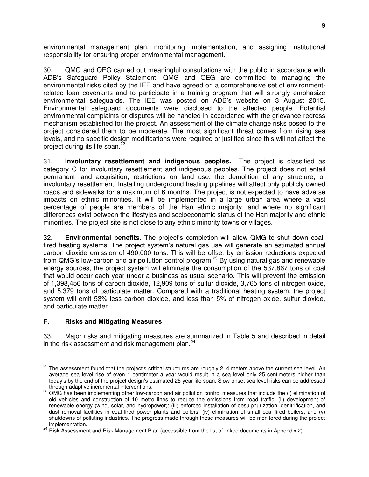environmental management plan, monitoring implementation, and assigning institutional responsibility for ensuring proper environmental management.

30. QMG and QEG carried out meaningful consultations with the public in accordance with ADB's Safeguard Policy Statement. QMG and QEG are committed to managing the environmental risks cited by the IEE and have agreed on a comprehensive set of environmentrelated loan covenants and to participate in a training program that will strongly emphasize environmental safeguards. The IEE was posted on ADB's website on 3 August 2015. Environmental safeguard documents were disclosed to the affected people. Potential environmental complaints or disputes will be handled in accordance with the grievance redress mechanism established for the project. An assessment of the climate change risks posed to the project considered them to be moderate. The most significant threat comes from rising sea levels, and no specific design modifications were required or justified since this will not affect the project during its life span.<sup>2</sup>

31. **Involuntary resettlement and indigenous peoples.** The project is classified as category C for involuntary resettlement and indigenous peoples. The project does not entail permanent land acquisition, restrictions on land use, the demolition of any structure, or involuntary resettlement. Installing underground heating pipelines will affect only publicly owned roads and sidewalks for a maximum of 6 months. The project is not expected to have adverse impacts on ethnic minorities. It will be implemented in a large urban area where a vast percentage of people are members of the Han ethnic majority, and where no significant differences exist between the lifestyles and socioeconomic status of the Han majority and ethnic minorities. The project site is not close to any ethnic minority towns or villages.

32. **Environmental benefits.** The project's completion will allow QMG to shut down coalfired heating systems. The project system's natural gas use will generate an estimated annual carbon dioxide emission of 490,000 tons. This will be offset by emission reductions expected from QMG's low-carbon and air pollution control program.<sup>23</sup> By using natural gas and renewable energy sources, the project system will eliminate the consumption of the 537,867 tons of coal that would occur each year under a business-as-usual scenario. This will prevent the emission of 1,398,456 tons of carbon dioxide, 12,909 tons of sulfur dioxide, 3,765 tons of nitrogen oxide, and 5,379 tons of particulate matter. Compared with a traditional heating system, the project system will emit 53% less carbon dioxide, and less than 5% of nitrogen oxide, sulfur dioxide, and particulate matter.

#### **F. Risks and Mitigating Measures**

33. Major risks and mitigating measures are summarized in Table 5 and described in detail in the risk assessment and risk management plan. $24$ 

 $\overline{a}$  $22$  The assessment found that the project's critical structures are roughly 2–4 meters above the current sea level. An average sea level rise of even 1 centimeter a year would result in a sea level only 25 centimeters higher than today's by the end of the project design's estimated 25-year life span. Slow-onset sea level risks can be addressed through adaptive incremental interventions.

<sup>&</sup>lt;sup>23</sup> QMG has been implementing other low-carbon and air pollution control measures that include the (i) elimination of old vehicles and construction of 10 metro lines to reduce the emissions from road traffic; (ii) development of renewable energy (wind, solar, and hydropower); (iii) enforced installation of desulphurization, denitrification, and dust removal facilities in coal-fired power plants and boilers; (iv) elimination of small coal-fired boilers; and (v) shutdowns of polluting industries. The progress made through these measures will be monitored during the project implementation.

<sup>&</sup>lt;sup>24</sup> Risk Assessment and Risk Management Plan (accessible from the list of linked documents in Appendix 2).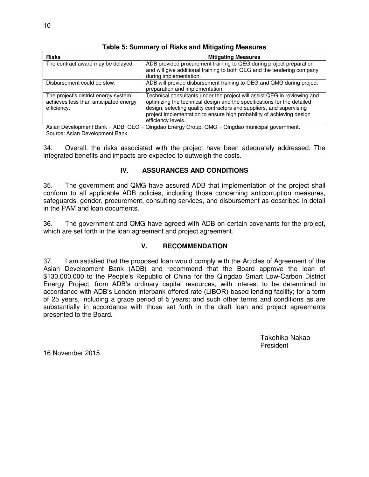| <b>Risks</b>                          | <b>Mitigating Measures</b>                                                                                                                     |
|---------------------------------------|------------------------------------------------------------------------------------------------------------------------------------------------|
| The contract award may be delayed.    | ADB provided procurement training to QEG during project preparation<br>and will give additional training to both QEG and the tendering company |
|                                       | during implementation.                                                                                                                         |
| Disbursement could be slow.           | ADB will provide disbursement training to QEG and QMG during project                                                                           |
|                                       | preparation and implementation.                                                                                                                |
| The project's district energy system  | Technical consultants under the project will assist QEG in reviewing and                                                                       |
| achieves less than anticipated energy | optimizing the technical design and the specifications for the detailed                                                                        |
| efficiency.                           | design, selecting quality contractors and suppliers, and supervising                                                                           |
|                                       | project implementation to ensure high probability of achieving design                                                                          |
|                                       | efficiency levels.                                                                                                                             |

**Table 5: Summary of Risks and Mitigating Measures** 

Asian Development Bank = ADB, QEG = Qingdao Energy Group, QMG = Qingdao municipal government. Source: Asian Development Bank.

34. Overall, the risks associated with the project have been adequately addressed. The integrated benefits and impacts are expected to outweigh the costs.

## **IV. ASSURANCES AND CONDITIONS**

35. The government and QMG have assured ADB that implementation of the project shall conform to all applicable ADB policies, including those concerning anticorruption measures, safeguards, gender, procurement, consulting services, and disbursement as described in detail in the PAM and loan documents.

36. The government and QMG have agreed with ADB on certain covenants for the project, which are set forth in the loan agreement and project agreement.

#### **V. RECOMMENDATION**

37. I am satisfied that the proposed loan would comply with the Articles of Agreement of the Asian Development Bank (ADB) and recommend that the Board approve the loan of \$130,000,000 to the People's Republic of China for the Qingdao Smart Low-Carbon District Energy Project, from ADB's ordinary capital resources, with interest to be determined in accordance with ADB's London interbank offered rate (LIBOR)-based lending facility; for a term of 25 years, including a grace period of 5 years; and such other terms and conditions as are substantially in accordance with those set forth in the draft loan and project agreements presented to the Board.

> Takehiko Nakao President

16 November 2015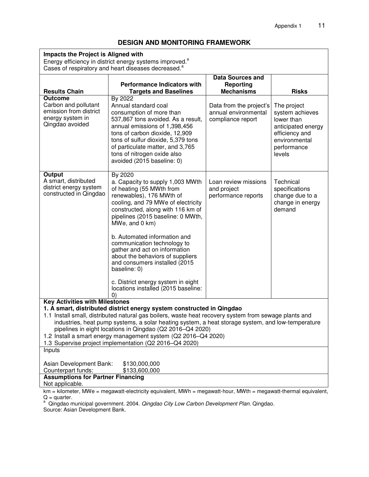#### **DESIGN AND MONITORING FRAMEWORK**

## **Impacts the Project is Aligned with**

Energy efficiency in district energy systems improved.<sup>a</sup> Cases of respiratory and heart diseases decreased.<sup>a</sup>

| <u>2000 of Toophatory and Hodit diocacco accide</u>                                                                                                                                                                                                                                                                                                                                                                                                                          |                                                                                                                                                                                                                                                                                                                                                                                                                                                                                                               |                                                                      |                                                                                                                                |
|------------------------------------------------------------------------------------------------------------------------------------------------------------------------------------------------------------------------------------------------------------------------------------------------------------------------------------------------------------------------------------------------------------------------------------------------------------------------------|---------------------------------------------------------------------------------------------------------------------------------------------------------------------------------------------------------------------------------------------------------------------------------------------------------------------------------------------------------------------------------------------------------------------------------------------------------------------------------------------------------------|----------------------------------------------------------------------|--------------------------------------------------------------------------------------------------------------------------------|
|                                                                                                                                                                                                                                                                                                                                                                                                                                                                              | <b>Performance Indicators with</b>                                                                                                                                                                                                                                                                                                                                                                                                                                                                            | <b>Data Sources and</b><br><b>Reporting</b>                          |                                                                                                                                |
| <b>Results Chain</b>                                                                                                                                                                                                                                                                                                                                                                                                                                                         | <b>Targets and Baselines</b>                                                                                                                                                                                                                                                                                                                                                                                                                                                                                  | <b>Mechanisms</b>                                                    | <b>Risks</b>                                                                                                                   |
| <b>Outcome</b>                                                                                                                                                                                                                                                                                                                                                                                                                                                               | By 2022                                                                                                                                                                                                                                                                                                                                                                                                                                                                                                       |                                                                      |                                                                                                                                |
| Carbon and pollutant<br>emission from district<br>energy system in<br>Qingdao avoided                                                                                                                                                                                                                                                                                                                                                                                        | Annual standard coal<br>consumption of more than<br>537,867 tons avoided. As a result,<br>annual emissions of 1,398,456<br>tons of carbon dioxide, 12,909<br>tons of sulfur dioxide, 5,379 tons<br>of particulate matter, and 3,765<br>tons of nitrogen oxide also<br>avoided (2015 baseline: 0)                                                                                                                                                                                                              | Data from the project's<br>annual environmental<br>compliance report | The project<br>system achieves<br>lower than<br>anticipated energy<br>efficiency and<br>environmental<br>performance<br>levels |
| Output<br>A smart, distributed<br>district energy system<br>constructed in Qingdao                                                                                                                                                                                                                                                                                                                                                                                           | By 2020<br>a. Capacity to supply 1,003 MWth<br>of heating (55 MWth from<br>renewables), 176 MWth of<br>cooling, and 79 MWe of electricity<br>constructed, along with 116 km of<br>pipelines (2015 baseline: 0 MWth,<br>MWe, and 0 km)<br>b. Automated information and<br>communication technology to<br>gather and act on information<br>about the behaviors of suppliers<br>and consumers installed (2015<br>baseline: 0)<br>c. District energy system in eight<br>locations installed (2015 baseline:<br>0) | Loan review missions<br>and project<br>performance reports           | Technical<br>specifications<br>change due to a<br>change in energy<br>demand                                                   |
| <b>Key Activities with Milestones</b>                                                                                                                                                                                                                                                                                                                                                                                                                                        |                                                                                                                                                                                                                                                                                                                                                                                                                                                                                                               |                                                                      |                                                                                                                                |
| 1. A smart, distributed district energy system constructed in Qingdao<br>1.1 Install small, distributed natural gas boilers, waste heat recovery system from sewage plants and<br>industries, heat pump systems, a solar heating system, a heat storage system, and low-temperature<br>pipelines in eight locations in Qingdao (Q2 2016-Q4 2020)<br>1.2 Install a smart energy management system (Q2 2016-Q4 2020)<br>1.3 Supervise project implementation (Q2 2016-Q4 2020) |                                                                                                                                                                                                                                                                                                                                                                                                                                                                                                               |                                                                      |                                                                                                                                |
| Inputs                                                                                                                                                                                                                                                                                                                                                                                                                                                                       |                                                                                                                                                                                                                                                                                                                                                                                                                                                                                                               |                                                                      |                                                                                                                                |
|                                                                                                                                                                                                                                                                                                                                                                                                                                                                              |                                                                                                                                                                                                                                                                                                                                                                                                                                                                                                               |                                                                      |                                                                                                                                |
| Asian Development Bank:<br>\$130,000,000                                                                                                                                                                                                                                                                                                                                                                                                                                     |                                                                                                                                                                                                                                                                                                                                                                                                                                                                                                               |                                                                      |                                                                                                                                |
| Counterpart funds:<br>\$133,600,000<br><b>Assumptions for Partner Financing</b>                                                                                                                                                                                                                                                                                                                                                                                              |                                                                                                                                                                                                                                                                                                                                                                                                                                                                                                               |                                                                      |                                                                                                                                |
| Not applicable.                                                                                                                                                                                                                                                                                                                                                                                                                                                              |                                                                                                                                                                                                                                                                                                                                                                                                                                                                                                               |                                                                      |                                                                                                                                |
| km = kilometer, MWe = megawatt-electricity equivalent, MWh = megawatt-hour, MWth = megawatt-thermal equivalent,                                                                                                                                                                                                                                                                                                                                                              |                                                                                                                                                                                                                                                                                                                                                                                                                                                                                                               |                                                                      |                                                                                                                                |

Q = quarter.<br><sup>a</sup> Qingdao municipal government. 2004. *Qingdao City Low Carbon Development Plan.* Qingdao. Source: Asian Development Bank.